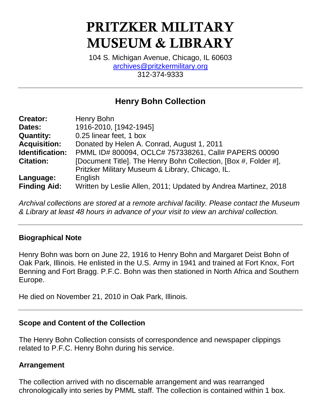# **PRITZKER MILITARY MUSEUM & LIBRARY**

104 S. Michigan Avenue, Chicago, IL 60603 [archives@pritzkermilitary.org](mailto:archives@pritzkermilitary.org) 312-374-9333

# **Henry Bohn Collection**

| <b>Creator:</b>     | Henry Bohn                                                      |
|---------------------|-----------------------------------------------------------------|
| Dates:              | 1916-2010, [1942-1945]                                          |
| <b>Quantity:</b>    | 0.25 linear feet, 1 box                                         |
| <b>Acquisition:</b> | Donated by Helen A. Conrad, August 1, 2011                      |
| Identification:     | PMML ID# 800094, OCLC# 757338261, Call# PAPERS 00090            |
| <b>Citation:</b>    | [Document Title]. The Henry Bohn Collection, [Box #, Folder #], |
|                     | Pritzker Military Museum & Library, Chicago, IL.                |
| Language:           | English                                                         |
| <b>Finding Aid:</b> | Written by Leslie Allen, 2011; Updated by Andrea Martinez, 2018 |

*Archival collections are stored at a remote archival facility. Please contact the Museum & Library at least 48 hours in advance of your visit to view an archival collection.*

#### **Biographical Note**

Henry Bohn was born on June 22, 1916 to Henry Bohn and Margaret Deist Bohn of Oak Park, Illinois. He enlisted in the U.S. Army in 1941 and trained at Fort Knox, Fort Benning and Fort Bragg. P.F.C. Bohn was then stationed in North Africa and Southern Europe.

He died on November 21, 2010 in Oak Park, Illinois.

# **Scope and Content of the Collection**

The Henry Bohn Collection consists of correspondence and newspaper clippings related to P.F.C. Henry Bohn during his service.

#### **Arrangement**

The collection arrived with no discernable arrangement and was rearranged chronologically into series by PMML staff. The collection is contained within 1 box.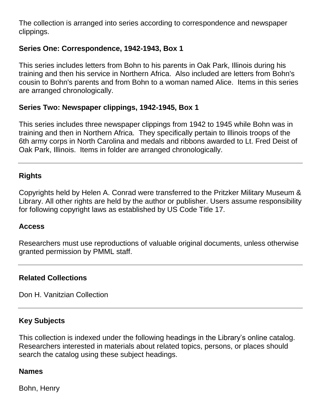The collection is arranged into series according to correspondence and newspaper clippings.

# **Series One: Correspondence, 1942-1943, Box 1**

This series includes letters from Bohn to his parents in Oak Park, Illinois during his training and then his service in Northern Africa. Also included are letters from Bohn's cousin to Bohn's parents and from Bohn to a woman named Alice. Items in this series are arranged chronologically.

#### **Series Two: Newspaper clippings, 1942-1945, Box 1**

This series includes three newspaper clippings from 1942 to 1945 while Bohn was in training and then in Northern Africa. They specifically pertain to Illinois troops of the 6th army corps in North Carolina and medals and ribbons awarded to Lt. Fred Deist of Oak Park, Illinois. Items in folder are arranged chronologically.

#### **Rights**

Copyrights held by Helen A. Conrad were transferred to the Pritzker Military Museum & Library. All other rights are held by the author or publisher. Users assume responsibility for following copyright laws as established by US Code Title 17.

#### **Access**

Researchers must use reproductions of valuable original documents, unless otherwise granted permission by PMML staff.

#### **Related Collections**

Don H. Vanitzian Collection

# **Key Subjects**

This collection is indexed under the following headings in the Library's online catalog. Researchers interested in materials about related topics, persons, or places should search the catalog using these subject headings.

#### **Names**

Bohn, Henry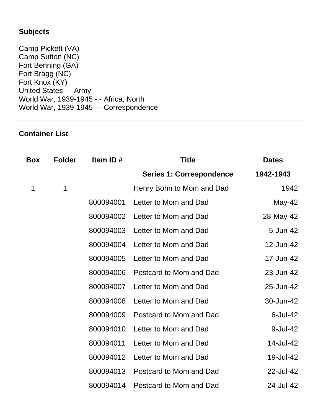# **Subjects**

Camp Pickett (VA) Camp Sutton (NC) Fort Benning (GA) Fort Bragg (NC) Fort Knox (KY) United States - - Army World War, 1939-1945 - - Africa, North World War, 1939-1945 - - Correspondence

# **Container List**

| <b>Box</b> | <b>Folder</b> | Item ID#  | <b>Title</b>                    | <b>Dates</b> |
|------------|---------------|-----------|---------------------------------|--------------|
|            |               |           | <b>Series 1: Correspondence</b> | 1942-1943    |
| 1          | 1             |           | Henry Bohn to Mom and Dad       | 1942         |
|            |               | 800094001 | Letter to Mom and Dad           | May-42       |
|            |               | 800094002 | Letter to Mom and Dad           | 28-May-42    |
|            |               | 800094003 | Letter to Mom and Dad           | 5-Jun-42     |
|            |               | 800094004 | Letter to Mom and Dad           | 12-Jun-42    |
|            |               | 800094005 | Letter to Mom and Dad           | 17-Jun-42    |
|            |               | 800094006 | Postcard to Mom and Dad         | 23-Jun-42    |
|            |               | 800094007 | Letter to Mom and Dad           | 25-Jun-42    |
|            |               | 800094008 | Letter to Mom and Dad           | 30-Jun-42    |
|            |               | 800094009 | Postcard to Mom and Dad         | $6$ -Jul-42  |
|            |               | 800094010 | Letter to Mom and Dad           | 9-Jul-42     |
|            |               | 800094011 | Letter to Mom and Dad           | 14-Jul-42    |
|            |               | 800094012 | Letter to Mom and Dad           | 19-Jul-42    |
|            |               | 800094013 | Postcard to Mom and Dad         | 22-Jul-42    |
|            |               | 800094014 | Postcard to Mom and Dad         | 24-Jul-42    |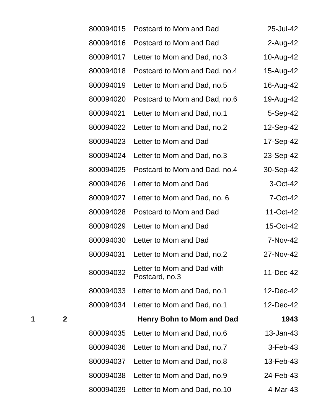| 800094015 | Postcard to Mom and Dad                      | 25-Jul-42   |
|-----------|----------------------------------------------|-------------|
| 800094016 | Postcard to Mom and Dad                      | 2-Aug-42    |
| 800094017 | Letter to Mom and Dad, no.3                  | 10-Aug-42   |
| 800094018 | Postcard to Mom and Dad, no.4                | 15-Aug-42   |
| 800094019 | Letter to Mom and Dad, no.5                  | 16-Aug-42   |
| 800094020 | Postcard to Mom and Dad, no.6                | 19-Aug-42   |
| 800094021 | Letter to Mom and Dad, no.1                  | $5-Sep-42$  |
| 800094022 | Letter to Mom and Dad, no.2                  | 12-Sep-42   |
| 800094023 | Letter to Mom and Dad                        | 17-Sep-42   |
| 800094024 | Letter to Mom and Dad, no.3                  | 23-Sep-42   |
| 800094025 | Postcard to Mom and Dad, no.4                | 30-Sep-42   |
| 800094026 | Letter to Mom and Dad                        | 3-Oct-42    |
| 800094027 | Letter to Mom and Dad, no. 6                 | 7-Oct-42    |
| 800094028 | Postcard to Mom and Dad                      | 11-Oct-42   |
| 800094029 | Letter to Mom and Dad                        | 15-Oct-42   |
| 800094030 | Letter to Mom and Dad                        | 7-Nov-42    |
| 800094031 | Letter to Mom and Dad, no.2                  | 27-Nov-42   |
| 800094032 | Letter to Mom and Dad with<br>Postcard, no.3 | 11-Dec-42   |
| 800094033 | Letter to Mom and Dad, no.1                  | 12-Dec-42   |
| 800094034 | Letter to Mom and Dad, no.1                  | 12-Dec-42   |
|           | Henry Bohn to Mom and Dad                    | 1943        |
| 800094035 | Letter to Mom and Dad, no.6                  | 13-Jan-43   |
| 800094036 | Letter to Mom and Dad, no.7                  | $3$ -Feb-43 |
| 800094037 | Letter to Mom and Dad, no.8                  | 13-Feb-43   |
| 800094038 | Letter to Mom and Dad, no.9                  | 24-Feb-43   |
| 800094039 | Letter to Mom and Dad, no.10                 | 4-Mar-43    |

**2 Henry Bohn to Mom and Dad 1943**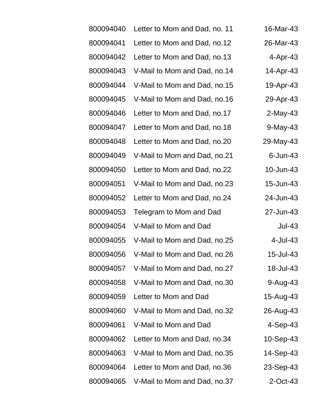| 800094040 | Letter to Mom and Dad, no. 11 | 16-Mar-43   |
|-----------|-------------------------------|-------------|
| 800094041 | Letter to Mom and Dad, no.12  | 26-Mar-43   |
| 800094042 | Letter to Mom and Dad, no.13  | $4-Apr-43$  |
| 800094043 | V-Mail to Mom and Dad, no.14  | 14-Apr-43   |
| 800094044 | V-Mail to Mom and Dad, no.15  | 19-Apr-43   |
| 800094045 | V-Mail to Mom and Dad, no.16  | 29-Apr-43   |
| 800094046 | Letter to Mom and Dad, no.17  | $2$ -May-43 |
| 800094047 | Letter to Mom and Dad, no.18  | 9-May-43    |
| 800094048 | Letter to Mom and Dad, no.20  | 29-May-43   |
| 800094049 | V-Mail to Mom and Dad, no.21  | $6$ -Jun-43 |
| 800094050 | Letter to Mom and Dad, no.22  | 10-Jun-43   |
| 800094051 | V-Mail to Mom and Dad, no.23  | 15-Jun-43   |
| 800094052 | Letter to Mom and Dad, no.24  | 24-Jun-43   |
| 800094053 | Telegram to Mom and Dad       | 27-Jun-43   |
| 800094054 | V-Mail to Mom and Dad         | $Jul-43$    |
| 800094055 | V-Mail to Mom and Dad, no.25  | 4-Jul-43    |
| 800094056 | V-Mail to Mom and Dad, no.26  | 15-Jul-43   |
| 800094057 | V-Mail to Mom and Dad, no.27  | 18-Jul-43   |
| 800094058 | V-Mail to Mom and Dad, no.30  | 9-Aug-43    |
| 800094059 | Letter to Mom and Dad         | 15-Aug-43   |
| 800094060 | V-Mail to Mom and Dad, no.32  | 26-Aug-43   |
| 800094061 | V-Mail to Mom and Dad         | 4-Sep-43    |
| 800094062 | Letter to Mom and Dad, no.34  | 10-Sep-43   |
| 800094063 | V-Mail to Mom and Dad, no.35  | 14-Sep-43   |
| 800094064 | Letter to Mom and Dad, no.36  | 23-Sep-43   |
| 800094065 | V-Mail to Mom and Dad, no.37  | $2$ -Oct-43 |